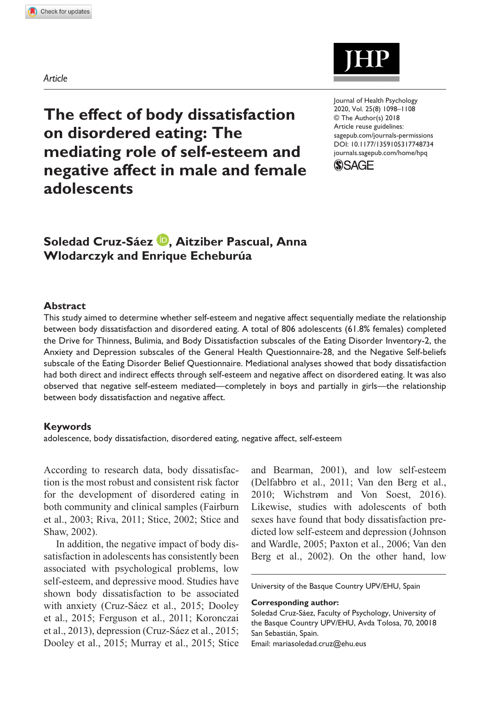*Article*



**The effect of body dissatisfaction on disordered eating: The mediating role of self-esteem and negative affect in male and female adolescents**

DOI: 10.1177/1359105317748734 Journal of Health Psychology 2020, Vol. 25(8) 1098–1108 © The Author(s) 2018 Article reuse guidelines: sagepub.com/journals-permissions [journals.sagepub.com/home/hpq](https://journals.sagepub.com/home/hpq)



# Soledad Cruz-Sáez <sup>(D</sup>, Aitziber Pascual, Anna **Wlodarczyk and Enrique Echeburúa**

#### **Abstract**

This study aimed to determine whether self-esteem and negative affect sequentially mediate the relationship between body dissatisfaction and disordered eating. A total of 806 adolescents (61.8% females) completed the Drive for Thinness, Bulimia, and Body Dissatisfaction subscales of the Eating Disorder Inventory-2, the Anxiety and Depression subscales of the General Health Questionnaire-28, and the Negative Self-beliefs subscale of the Eating Disorder Belief Questionnaire. Mediational analyses showed that body dissatisfaction had both direct and indirect effects through self-esteem and negative affect on disordered eating. It was also observed that negative self-esteem mediated—completely in boys and partially in girls—the relationship between body dissatisfaction and negative affect.

#### **Keywords**

adolescence, body dissatisfaction, disordered eating, negative affect, self-esteem

According to research data, body dissatisfaction is the most robust and consistent risk factor for the development of disordered eating in both community and clinical samples (Fairburn et al., 2003; Riva, 2011; Stice, 2002; Stice and Shaw, 2002).

In addition, the negative impact of body dissatisfaction in adolescents has consistently been associated with psychological problems, low self-esteem, and depressive mood. Studies have shown body dissatisfaction to be associated with anxiety (Cruz-Sáez et al., 2015; Dooley et al., 2015; Ferguson et al., 2011; Koronczai et al., 2013), depression (Cruz-Sáez et al., 2015; Dooley et al., 2015; Murray et al., 2015; Stice and Bearman, 2001), and low self-esteem (Delfabbro et al., 2011; Van den Berg et al., 2010; Wichstrøm and Von Soest, 2016). Likewise, studies with adolescents of both sexes have found that body dissatisfaction predicted low self-esteem and depression (Johnson and Wardle, 2005; Paxton et al., 2006; Van den Berg et al., 2002). On the other hand, low

University of the Basque Country UPV/EHU, Spain

**Corresponding author:**

Soledad Cruz-Sáez, Faculty of Psychology, University of the Basque Country UPV/EHU, Avda Tolosa, 70, 20018 San Sebastián, Spain. Email: [mariasoledad.cruz@ehu.eus](mailto:mariasoledad.cruz@ehu.eus)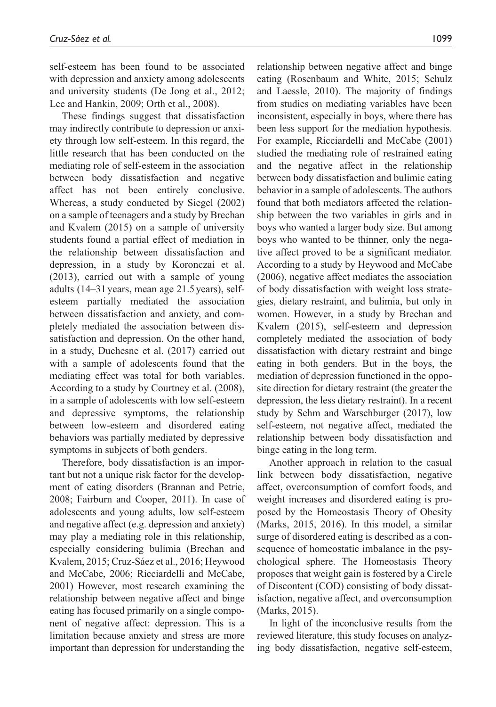self-esteem has been found to be associated with depression and anxiety among adolescents and university students (De Jong et al., 2012; Lee and Hankin, 2009; Orth et al., 2008).

These findings suggest that dissatisfaction may indirectly contribute to depression or anxiety through low self-esteem. In this regard, the little research that has been conducted on the mediating role of self-esteem in the association between body dissatisfaction and negative affect has not been entirely conclusive. Whereas, a study conducted by Siegel (2002) on a sample of teenagers and a study by Brechan and Kvalem (2015) on a sample of university students found a partial effect of mediation in the relationship between dissatisfaction and depression, in a study by Koronczai et al. (2013), carried out with a sample of young adults (14–31 years, mean age 21.5years), selfesteem partially mediated the association between dissatisfaction and anxiety, and completely mediated the association between dissatisfaction and depression. On the other hand, in a study, Duchesne et al. (2017) carried out with a sample of adolescents found that the mediating effect was total for both variables. According to a study by Courtney et al. (2008), in a sample of adolescents with low self-esteem and depressive symptoms, the relationship between low-esteem and disordered eating behaviors was partially mediated by depressive symptoms in subjects of both genders.

Therefore, body dissatisfaction is an important but not a unique risk factor for the development of eating disorders (Brannan and Petrie, 2008; Fairburn and Cooper, 2011). In case of adolescents and young adults, low self-esteem and negative affect (e.g. depression and anxiety) may play a mediating role in this relationship, especially considering bulimia (Brechan and Kvalem, 2015; Cruz-Sáez et al., 2016; Heywood and McCabe, 2006; Ricciardelli and McCabe, 2001) However, most research examining the relationship between negative affect and binge eating has focused primarily on a single component of negative affect: depression. This is a limitation because anxiety and stress are more important than depression for understanding the

relationship between negative affect and binge eating (Rosenbaum and White, 2015; Schulz and Laessle, 2010). The majority of findings from studies on mediating variables have been inconsistent, especially in boys, where there has been less support for the mediation hypothesis. For example, Ricciardelli and McCabe (2001) studied the mediating role of restrained eating and the negative affect in the relationship between body dissatisfaction and bulimic eating behavior in a sample of adolescents. The authors found that both mediators affected the relationship between the two variables in girls and in boys who wanted a larger body size. But among boys who wanted to be thinner, only the negative affect proved to be a significant mediator. According to a study by Heywood and McCabe (2006), negative affect mediates the association of body dissatisfaction with weight loss strategies, dietary restraint, and bulimia, but only in women. However, in a study by Brechan and Kvalem (2015), self-esteem and depression completely mediated the association of body dissatisfaction with dietary restraint and binge eating in both genders. But in the boys, the mediation of depression functioned in the opposite direction for dietary restraint (the greater the depression, the less dietary restraint). In a recent study by Sehm and Warschburger (2017), low self-esteem, not negative affect, mediated the relationship between body dissatisfaction and binge eating in the long term.

Another approach in relation to the casual link between body dissatisfaction, negative affect, overconsumption of comfort foods, and weight increases and disordered eating is proposed by the Homeostasis Theory of Obesity (Marks, 2015, 2016). In this model, a similar surge of disordered eating is described as a consequence of homeostatic imbalance in the psychological sphere. The Homeostasis Theory proposes that weight gain is fostered by a Circle of Discontent (COD) consisting of body dissatisfaction, negative affect, and overconsumption (Marks, 2015).

In light of the inconclusive results from the reviewed literature, this study focuses on analyzing body dissatisfaction, negative self-esteem,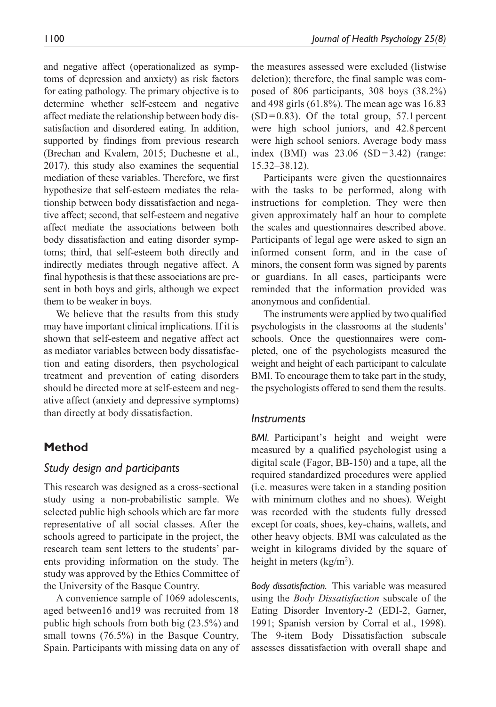and negative affect (operationalized as symptoms of depression and anxiety) as risk factors for eating pathology. The primary objective is to determine whether self-esteem and negative affect mediate the relationship between body dissatisfaction and disordered eating. In addition, supported by findings from previous research (Brechan and Kvalem, 2015; Duchesne et al., 2017), this study also examines the sequential mediation of these variables. Therefore, we first hypothesize that self-esteem mediates the relationship between body dissatisfaction and negative affect; second, that self-esteem and negative affect mediate the associations between both body dissatisfaction and eating disorder symptoms; third, that self-esteem both directly and indirectly mediates through negative affect. A final hypothesis is that these associations are present in both boys and girls, although we expect them to be weaker in boys.

We believe that the results from this study may have important clinical implications. If it is shown that self-esteem and negative affect act as mediator variables between body dissatisfaction and eating disorders, then psychological treatment and prevention of eating disorders should be directed more at self-esteem and negative affect (anxiety and depressive symptoms) than directly at body dissatisfaction.

# **Method**

## *Study design and participants*

This research was designed as a cross-sectional study using a non-probabilistic sample. We selected public high schools which are far more representative of all social classes. After the schools agreed to participate in the project, the research team sent letters to the students' parents providing information on the study. The study was approved by the Ethics Committee of the University of the Basque Country.

A convenience sample of 1069 adolescents, aged between16 and19 was recruited from 18 public high schools from both big (23.5%) and small towns (76.5%) in the Basque Country, Spain. Participants with missing data on any of the measures assessed were excluded (listwise deletion); therefore, the final sample was composed of 806 participants, 308 boys (38.2%) and 498 girls (61.8%). The mean age was 16.83  $(SD=0.83)$ . Of the total group, 57.1 percent were high school juniors, and 42.8 percent were high school seniors. Average body mass index (BMI) was 23.06 (SD=3.42) (range: 15.32–38.12).

Participants were given the questionnaires with the tasks to be performed, along with instructions for completion. They were then given approximately half an hour to complete the scales and questionnaires described above. Participants of legal age were asked to sign an informed consent form, and in the case of minors, the consent form was signed by parents or guardians. In all cases, participants were reminded that the information provided was anonymous and confidential.

The instruments were applied by two qualified psychologists in the classrooms at the students' schools. Once the questionnaires were completed, one of the psychologists measured the weight and height of each participant to calculate BMI. To encourage them to take part in the study, the psychologists offered to send them the results.

## *Instruments*

*BMI.* Participant's height and weight were measured by a qualified psychologist using a digital scale (Fagor, BB-150) and a tape, all the required standardized procedures were applied (i.e. measures were taken in a standing position with minimum clothes and no shoes). Weight was recorded with the students fully dressed except for coats, shoes, key-chains, wallets, and other heavy objects. BMI was calculated as the weight in kilograms divided by the square of height in meters  $(kg/m<sup>2</sup>)$ .

*Body dissatisfaction.* This variable was measured using the *Body Dissatisfaction* subscale of the Eating Disorder Inventory-2 (EDI-2, Garner, 1991; Spanish version by Corral et al., 1998). The 9-item Body Dissatisfaction subscale assesses dissatisfaction with overall shape and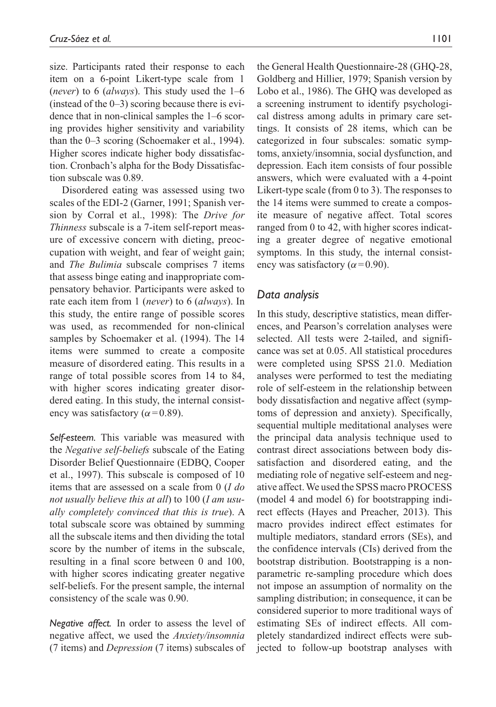size. Participants rated their response to each item on a 6-point Likert-type scale from 1 (*never*) to 6 (*always*). This study used the 1–6 (instead of the  $0-3$ ) scoring because there is evidence that in non-clinical samples the 1–6 scoring provides higher sensitivity and variability than the 0–3 scoring (Schoemaker et al., 1994). Higher scores indicate higher body dissatisfaction. Cronbach's alpha for the Body Dissatisfaction subscale was 0.89.

Disordered eating was assessed using two scales of the EDI-2 (Garner, 1991; Spanish version by Corral et al., 1998): The *Drive for Thinness* subscale is a 7-item self-report measure of excessive concern with dieting, preoccupation with weight, and fear of weight gain; and *The Bulimia* subscale comprises 7 items that assess binge eating and inappropriate compensatory behavior. Participants were asked to rate each item from 1 (*never*) to 6 (*always*). In this study, the entire range of possible scores was used, as recommended for non-clinical samples by Schoemaker et al. (1994). The 14 items were summed to create a composite measure of disordered eating. This results in a range of total possible scores from 14 to 84, with higher scores indicating greater disordered eating. In this study, the internal consistency was satisfactory ( $\alpha$ =0.89).

*Self-esteem.* This variable was measured with the *Negative self-beliefs* subscale of the Eating Disorder Belief Questionnaire (EDBQ, Cooper et al., 1997). This subscale is composed of 10 items that are assessed on a scale from 0 (*I do not usually believe this at all*) to 100 (*I am usually completely convinced that this is true*). A total subscale score was obtained by summing all the subscale items and then dividing the total score by the number of items in the subscale, resulting in a final score between 0 and 100, with higher scores indicating greater negative self-beliefs. For the present sample, the internal consistency of the scale was 0.90.

*Negative affect.* In order to assess the level of negative affect, we used the *Anxiety/insomnia* (7 items) and *Depression* (7 items) subscales of the General Health Questionnaire-28 (GHQ-28, Goldberg and Hillier, 1979; Spanish version by Lobo et al., 1986). The GHQ was developed as a screening instrument to identify psychological distress among adults in primary care settings. It consists of 28 items, which can be categorized in four subscales: somatic symptoms, anxiety/insomnia, social dysfunction, and depression. Each item consists of four possible answers, which were evaluated with a 4-point Likert-type scale (from 0 to 3). The responses to the 14 items were summed to create a composite measure of negative affect. Total scores ranged from 0 to 42, with higher scores indicating a greater degree of negative emotional symptoms. In this study, the internal consistency was satisfactory ( $\alpha$ =0.90).

## *Data analysis*

In this study, descriptive statistics, mean differences, and Pearson's correlation analyses were selected. All tests were 2-tailed, and significance was set at 0.05. All statistical procedures were completed using SPSS 21.0. Mediation analyses were performed to test the mediating role of self-esteem in the relationship between body dissatisfaction and negative affect (symptoms of depression and anxiety). Specifically, sequential multiple meditational analyses were the principal data analysis technique used to contrast direct associations between body dissatisfaction and disordered eating, and the mediating role of negative self-esteem and negative affect. We used the SPSS macro PROCESS (model 4 and model 6) for bootstrapping indirect effects (Hayes and Preacher, 2013). This macro provides indirect effect estimates for multiple mediators, standard errors (SEs), and the confidence intervals (CIs) derived from the bootstrap distribution. Bootstrapping is a nonparametric re-sampling procedure which does not impose an assumption of normality on the sampling distribution; in consequence, it can be considered superior to more traditional ways of estimating SEs of indirect effects. All completely standardized indirect effects were subjected to follow-up bootstrap analyses with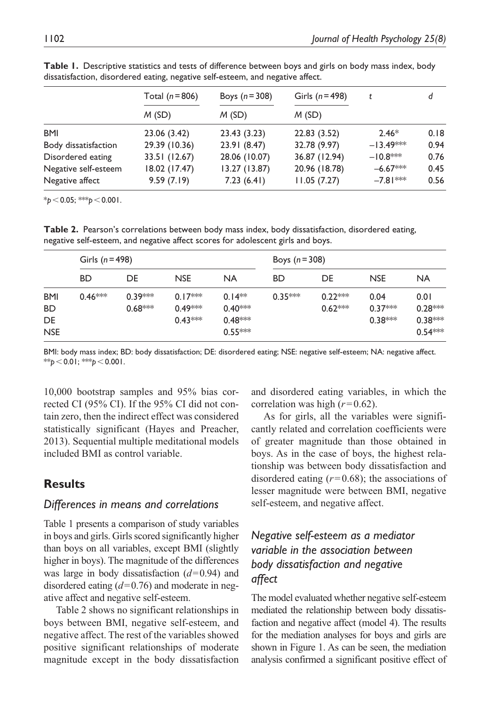|                      | Total $(n=806)$ | Boys $(n=308)$ | Girls $(n=498)$ |             | d    |
|----------------------|-----------------|----------------|-----------------|-------------|------|
|                      | M(SD)           | M(SD)          | M(SD)           |             |      |
| <b>BMI</b>           | 23.06 (3.42)    | 23.43 (3.23)   | 22.83 (3.52)    | $2.46*$     | 0.18 |
| Body dissatisfaction | 29.39 (10.36)   | 23.91 (8.47)   | 32.78 (9.97)    | $-13.49***$ | 0.94 |
| Disordered eating    | 33.51 (12.67)   | 28.06 (10.07)  | 36.87 (12.94)   | $-10.8$ **  | 0.76 |
| Negative self-esteem | 18.02 (17.47)   | 13.27 (13.87)  | 20.96 (18.78)   | $-6.67***$  | 0.45 |
| Negative affect      | 9.59(7.19)      | 7.23(6.41)     | 11.05(7.27)     | $-7.81***$  | 0.56 |

**Table 1.** Descriptive statistics and tests of difference between boys and girls on body mass index, body dissatisfaction, disordered eating, negative self-esteem, and negative affect.

 $*_{p}$  < 0.05; \*\*\**p* < 0.001.

**Table 2.** Pearson's correlations between body mass index, body dissatisfaction, disordered eating, negative self-esteem, and negative affect scores for adolescent girls and boys.

|            | Girls ( $n = 498$ ) |           |            |           | Boys $(n = 308)$ |           |            |           |
|------------|---------------------|-----------|------------|-----------|------------------|-----------|------------|-----------|
|            | <b>BD</b>           | DE        | <b>NSE</b> | <b>NA</b> | <b>BD</b>        | DE        | <b>NSE</b> | <b>NA</b> |
| <b>BMI</b> | $0.46***$           | $0.39***$ | $0.17***$  | $0.14**$  | $0.35***$        | $0.22***$ | 0.04       | 0.01      |
| <b>BD</b>  |                     | $0.68***$ | $0.49***$  | $0.40***$ |                  | $0.62***$ | $0.37***$  | $0.28***$ |
| DE         |                     |           | $0.43***$  | $0.48***$ |                  |           | $0.38***$  | $0.38***$ |
| <b>NSE</b> |                     |           |            | $0.55***$ |                  |           |            | $0.54***$ |

BMI: body mass index; BD: body dissatisfaction; DE: disordered eating; NSE: negative self-esteem; NA: negative affect.  $**$ *p* < 0.01; \*\**p* < 0.001.

10,000 bootstrap samples and 95% bias corrected CI (95% CI). If the 95% CI did not contain zero, then the indirect effect was considered statistically significant (Hayes and Preacher, 2013). Sequential multiple meditational models included BMI as control variable.

## **Results**

### *Differences in means and correlations*

Table 1 presents a comparison of study variables in boys and girls. Girls scored significantly higher than boys on all variables, except BMI (slightly higher in boys). The magnitude of the differences was large in body dissatisfaction (*d*=0.94) and disordered eating (*d*=0.76) and moderate in negative affect and negative self-esteem.

Table 2 shows no significant relationships in boys between BMI, negative self-esteem, and negative affect. The rest of the variables showed positive significant relationships of moderate magnitude except in the body dissatisfaction and disordered eating variables, in which the correlation was high  $(r=0.62)$ .

As for girls, all the variables were significantly related and correlation coefficients were of greater magnitude than those obtained in boys. As in the case of boys, the highest relationship was between body dissatisfaction and disordered eating (*r*=0.68); the associations of lesser magnitude were between BMI, negative self-esteem, and negative affect.

# *Negative self-esteem as a mediator variable in the association between body dissatisfaction and negative affect*

The model evaluated whether negative self-esteem mediated the relationship between body dissatisfaction and negative affect (model 4). The results for the mediation analyses for boys and girls are shown in Figure 1. As can be seen, the mediation analysis confirmed a significant positive effect of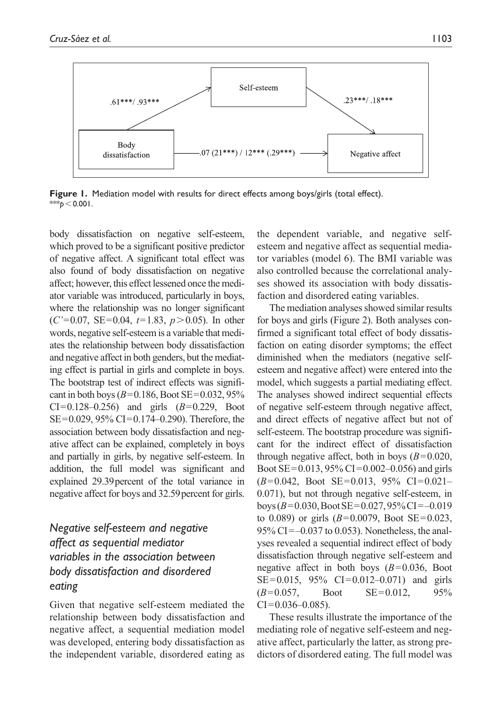

**Figure 1.** Mediation model with results for direct effects among boys/girls (total effect). \*\* $b$  < 0.001.

body dissatisfaction on negative self-esteem, which proved to be a significant positive predictor of negative affect. A significant total effect was also found of body dissatisfaction on negative affect; however, this effect lessened once the mediator variable was introduced, particularly in boys, where the relationship was no longer significant (*C'*=0.07, SE=0.04, *t*=1.83, *p*>0.05). In other words, negative self-esteem is a variable that mediates the relationship between body dissatisfaction and negative affect in both genders, but the mediating effect is partial in girls and complete in boys. The bootstrap test of indirect effects was significant in both boys ( $B=0.186$ , Boot SE=0.032, 95%)  $CI = 0.128 - 0.256$  and girls  $(B = 0.229,$  Boot SE=0.029, 95% CI=0.174–0.290). Therefore, the association between body dissatisfaction and negative affect can be explained, completely in boys and partially in girls, by negative self-esteem. In addition, the full model was significant and explained 29.39percent of the total variance in negative affect for boys and 32.59percent for girls.

# *Negative self-esteem and negative affect as sequential mediator variables in the association between body dissatisfaction and disordered eating*

Given that negative self-esteem mediated the relationship between body dissatisfaction and negative affect, a sequential mediation model was developed, entering body dissatisfaction as the independent variable, disordered eating as

the dependent variable, and negative selfesteem and negative affect as sequential mediator variables (model 6). The BMI variable was also controlled because the correlational analyses showed its association with body dissatisfaction and disordered eating variables.

The mediation analyses showed similar results for boys and girls (Figure 2). Both analyses confirmed a significant total effect of body dissatisfaction on eating disorder symptoms; the effect diminished when the mediators (negative selfesteem and negative affect) were entered into the model, which suggests a partial mediating effect. The analyses showed indirect sequential effects of negative self-esteem through negative affect, and direct effects of negative affect but not of self-esteem. The bootstrap procedure was significant for the indirect effect of dissatisfaction through negative affect, both in boys  $(B=0.020,$ Boot SE=0.013, 95% CI=0.002–0.056) and girls (*B*=0.042, Boot SE=0.013, 95% CI=0.021– 0.071), but not through negative self-esteem, in boys ( $B=0.030$ , Boot SE = 0.027, 95% CI = -0.019 to 0.089) or girls (*B*=0.0079, Boot SE=0.023, 95% CI=–0.037 to 0.053). Nonetheless, the analyses revealed a sequential indirect effect of body dissatisfaction through negative self-esteem and negative affect in both boys (*B*=0.036, Boot SE=0.015, 95% CI=0.012–0.071) and girls  $(B=0.057,$  Boot  $SE=0.012,$  95%  $CI = 0.036 - 0.085$ .

These results illustrate the importance of the mediating role of negative self-esteem and negative affect, particularly the latter, as strong predictors of disordered eating. The full model was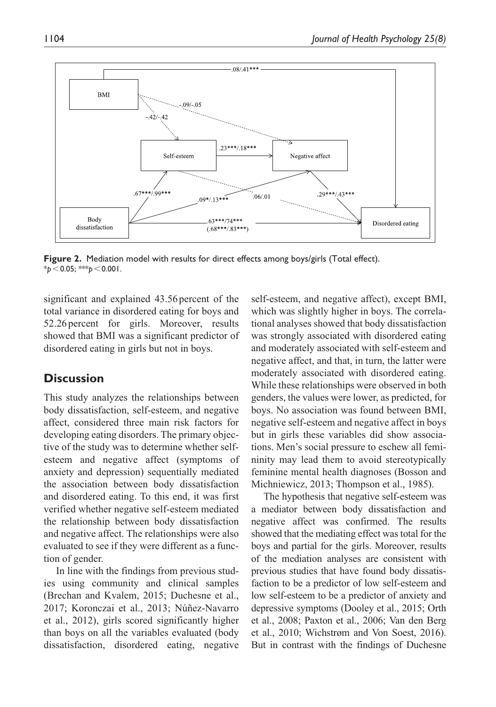

**Figure 2.** Mediation model with results for direct effects among boys/girls (Total effect). \**p*<0.05; \*\*\**p*<0.001.

significant and explained 43.56 percent of the total variance in disordered eating for boys and 52.26percent for girls. Moreover, results showed that BMI was a significant predictor of disordered eating in girls but not in boys.

# **Discussion**

This study analyzes the relationships between body dissatisfaction, self-esteem, and negative affect, considered three main risk factors for developing eating disorders. The primary objective of the study was to determine whether selfesteem and negative affect (symptoms of anxiety and depression) sequentially mediated the association between body dissatisfaction and disordered eating. To this end, it was first verified whether negative self-esteem mediated the relationship between body dissatisfaction and negative affect. The relationships were also evaluated to see if they were different as a function of gender.

In line with the findings from previous studies using community and clinical samples (Brechan and Kvalem, 2015; Duchesne et al., 2017; Koronczai et al., 2013; Núñez-Navarro et al., 2012), girls scored significantly higher than boys on all the variables evaluated (body dissatisfaction, disordered eating, negative self-esteem, and negative affect), except BMI, which was slightly higher in boys. The correlational analyses showed that body dissatisfaction was strongly associated with disordered eating and moderately associated with self-esteem and negative affect, and that, in turn, the latter were moderately associated with disordered eating. While these relationships were observed in both genders, the values were lower, as predicted, for boys. No association was found between BMI, negative self-esteem and negative affect in boys but in girls these variables did show associations. Men's social pressure to eschew all femininity may lead them to avoid stereotypically feminine mental health diagnoses (Bosson and Michniewicz, 2013; Thompson et al., 1985).

The hypothesis that negative self-esteem was a mediator between body dissatisfaction and negative affect was confirmed. The results showed that the mediating effect was total for the boys and partial for the girls. Moreover, results of the mediation analyses are consistent with previous studies that have found body dissatisfaction to be a predictor of low self-esteem and low self-esteem to be a predictor of anxiety and depressive symptoms (Dooley et al., 2015; Orth et al., 2008; Paxton et al., 2006; Van den Berg et al., 2010; Wichstrøm and Von Soest, 2016). But in contrast with the findings of Duchesne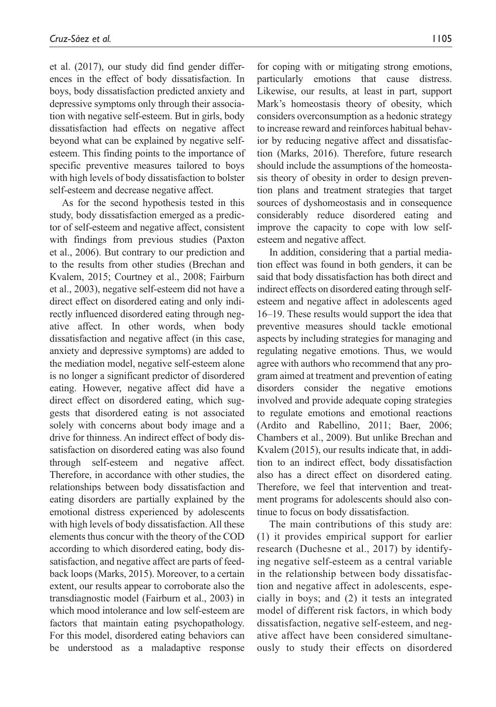et al. (2017), our study did find gender differences in the effect of body dissatisfaction. In boys, body dissatisfaction predicted anxiety and depressive symptoms only through their association with negative self-esteem. But in girls, body dissatisfaction had effects on negative affect beyond what can be explained by negative selfesteem. This finding points to the importance of specific preventive measures tailored to boys with high levels of body dissatisfaction to bolster self-esteem and decrease negative affect.

As for the second hypothesis tested in this study, body dissatisfaction emerged as a predictor of self-esteem and negative affect, consistent with findings from previous studies (Paxton et al., 2006). But contrary to our prediction and to the results from other studies (Brechan and Kvalem, 2015; Courtney et al., 2008; Fairburn et al., 2003), negative self-esteem did not have a direct effect on disordered eating and only indirectly influenced disordered eating through negative affect. In other words, when body dissatisfaction and negative affect (in this case, anxiety and depressive symptoms) are added to the mediation model, negative self-esteem alone is no longer a significant predictor of disordered eating. However, negative affect did have a direct effect on disordered eating, which suggests that disordered eating is not associated solely with concerns about body image and a drive for thinness. An indirect effect of body dissatisfaction on disordered eating was also found through self-esteem and negative affect. Therefore, in accordance with other studies, the relationships between body dissatisfaction and eating disorders are partially explained by the emotional distress experienced by adolescents with high levels of body dissatisfaction. All these elements thus concur with the theory of the COD according to which disordered eating, body dissatisfaction, and negative affect are parts of feedback loops (Marks, 2015). Moreover, to a certain extent, our results appear to corroborate also the transdiagnostic model (Fairburn et al., 2003) in which mood intolerance and low self-esteem are factors that maintain eating psychopathology. For this model, disordered eating behaviors can be understood as a maladaptive response

for coping with or mitigating strong emotions, particularly emotions that cause distress. Likewise, our results, at least in part, support Mark's homeostasis theory of obesity, which considers overconsumption as a hedonic strategy to increase reward and reinforces habitual behavior by reducing negative affect and dissatisfaction (Marks, 2016). Therefore, future research should include the assumptions of the homeostasis theory of obesity in order to design prevention plans and treatment strategies that target sources of dyshomeostasis and in consequence considerably reduce disordered eating and improve the capacity to cope with low selfesteem and negative affect.

In addition, considering that a partial mediation effect was found in both genders, it can be said that body dissatisfaction has both direct and indirect effects on disordered eating through selfesteem and negative affect in adolescents aged 16–19. These results would support the idea that preventive measures should tackle emotional aspects by including strategies for managing and regulating negative emotions. Thus, we would agree with authors who recommend that any program aimed at treatment and prevention of eating disorders consider the negative emotions involved and provide adequate coping strategies to regulate emotions and emotional reactions (Ardito and Rabellino, 2011; Baer, 2006; Chambers et al., 2009). But unlike Brechan and Kvalem (2015), our results indicate that, in addition to an indirect effect, body dissatisfaction also has a direct effect on disordered eating. Therefore, we feel that intervention and treatment programs for adolescents should also continue to focus on body dissatisfaction.

The main contributions of this study are: (1) it provides empirical support for earlier research (Duchesne et al., 2017) by identifying negative self-esteem as a central variable in the relationship between body dissatisfaction and negative affect in adolescents, especially in boys; and (2) it tests an integrated model of different risk factors, in which body dissatisfaction, negative self-esteem, and negative affect have been considered simultaneously to study their effects on disordered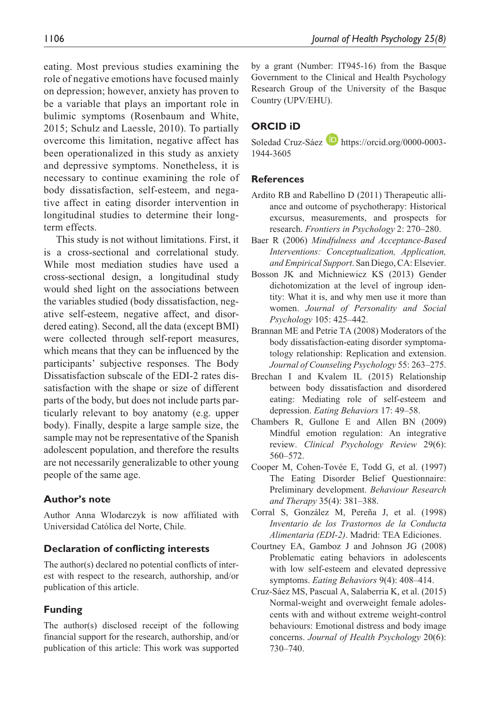eating. Most previous studies examining the role of negative emotions have focused mainly on depression; however, anxiety has proven to be a variable that plays an important role in bulimic symptoms (Rosenbaum and White, 2015; Schulz and Laessle, 2010). To partially overcome this limitation, negative affect has been operationalized in this study as anxiety and depressive symptoms. Nonetheless, it is necessary to continue examining the role of body dissatisfaction, self-esteem, and negative affect in eating disorder intervention in longitudinal studies to determine their longterm effects.

This study is not without limitations. First, it is a cross-sectional and correlational study. While most mediation studies have used a cross-sectional design, a longitudinal study would shed light on the associations between the variables studied (body dissatisfaction, negative self-esteem, negative affect, and disordered eating). Second, all the data (except BMI) were collected through self-report measures, which means that they can be influenced by the participants' subjective responses. The Body Dissatisfaction subscale of the EDI-2 rates dissatisfaction with the shape or size of different parts of the body, but does not include parts particularly relevant to boy anatomy (e.g. upper body). Finally, despite a large sample size, the sample may not be representative of the Spanish adolescent population, and therefore the results are not necessarily generalizable to other young people of the same age.

### **Author's note**

Author Anna Wlodarczyk is now affiliated with Universidad Católica del Norte, Chile.

#### **Declaration of conflicting interests**

The author(s) declared no potential conflicts of interest with respect to the research, authorship, and/or publication of this article.

### **Funding**

The author(s) disclosed receipt of the following financial support for the research, authorship, and/or publication of this article: This work was supported

by a grant (Number: IT945-16) from the Basque Government to the Clinical and Health Psychology Research Group of the University of the Basque Country (UPV/EHU).

### **ORCID iD**

Soledad Cruz-Sáez **h**ttps://orcid.org/0000-0003-[1944-3605](https://orcid.org/0000-0003-1944-3605)

#### **References**

- Ardito RB and Rabellino D (2011) Therapeutic alliance and outcome of psychotherapy: Historical excursus, measurements, and prospects for research. *Frontiers in Psychology* 2: 270–280.
- Baer R (2006) *Mindfulness and Acceptance-Based Interventions: Conceptualization, Application, and Empirical Support*. San Diego, CA: Elsevier.
- Bosson JK and Michniewicz KS (2013) Gender dichotomization at the level of ingroup identity: What it is, and why men use it more than women. *Journal of Personality and Social Psychology* 105: 425–442.
- Brannan ME and Petrie TA (2008) Moderators of the body dissatisfaction-eating disorder symptomatology relationship: Replication and extension. *Journal of Counseling Psychology* 55: 263–275.
- Brechan I and Kvalem IL (2015) Relationship between body dissatisfaction and disordered eating: Mediating role of self-esteem and depression. *Eating Behaviors* 17: 49–58.
- Chambers R, Gullone E and Allen BN (2009) Mindful emotion regulation: An integrative review. *Clinical Psychology Review* 29(6): 560–572.
- Cooper M, Cohen-Tovée E, Todd G, et al. (1997) The Eating Disorder Belief Questionnaire: Preliminary development. *Behaviour Research and Therapy* 35(4): 381–388.
- Corral S, González M, Pereña J, et al. (1998) *Inventario de los Trastornos de la Conducta Alimentaria (EDI-2)*. Madrid: TEA Ediciones.
- Courtney EA, Gamboz J and Johnson JG (2008) Problematic eating behaviors in adolescents with low self-esteem and elevated depressive symptoms. *Eating Behaviors* 9(4): 408–414.
- Cruz-Sáez MS, Pascual A, Salaberria K, et al. (2015) Normal-weight and overweight female adolescents with and without extreme weight-control behaviours: Emotional distress and body image concerns. *Journal of Health Psychology* 20(6): 730–740.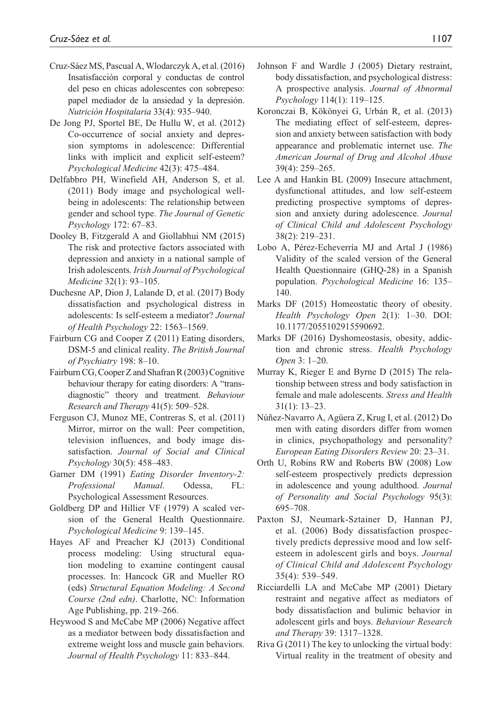- Cruz-Sáez MS, Pascual A, Wlodarczyk A, et al. (2016) Insatisfacción corporal y conductas de control del peso en chicas adolescentes con sobrepeso: papel mediador de la ansiedad y la depresión. *Nutrición Hospitalaria* 33(4): 935–940.
- De Jong PJ, Sportel BE, De Hullu W, et al. (2012) Co-occurrence of social anxiety and depression symptoms in adolescence: Differential links with implicit and explicit self-esteem? *Psychological Medicine* 42(3): 475–484.
- Delfabbro PH, Winefield AH, Anderson S, et al. (2011) Body image and psychological wellbeing in adolescents: The relationship between gender and school type. *The Journal of Genetic Psychology* 172: 67–83.
- Dooley B, Fitzgerald A and Giollabhui NM (2015) The risk and protective factors associated with depression and anxiety in a national sample of Irish adolescents. *Irish Journal of Psychological Medicine* 32(1): 93–105.
- Duchesne AP, Dion J, Lalande D, et al. (2017) Body dissatisfaction and psychological distress in adolescents: Is self-esteem a mediator? *Journal of Health Psychology* 22: 1563–1569.
- Fairburn CG and Cooper Z (2011) Eating disorders, DSM-5 and clinical reality. *The British Journal of Psychiatry* 198: 8–10.
- Fairburn CG, Cooper Z and Shafran R (2003) Cognitive behaviour therapy for eating disorders: A "transdiagnostic" theory and treatment. *Behaviour Research and Therapy* 41(5): 509–528.
- Ferguson CJ, Munoz ME, Contreras S, et al. (2011) Mirror, mirror on the wall: Peer competition, television influences, and body image dissatisfaction. *Journal of Social and Clinical Psychology* 30(5): 458–483.
- Garner DM (1991) *Eating Disorder Inventory-2: Professional Manual*. Odessa, FL: Psychological Assessment Resources.
- Goldberg DP and Hillier VF (1979) A scaled version of the General Health Questionnaire. *Psychological Medicine* 9: 139–145.
- Hayes AF and Preacher KJ (2013) Conditional process modeling: Using structural equation modeling to examine contingent causal processes. In: Hancock GR and Mueller RO (eds) *Structural Equation Modeling: A Second Course (2nd edn)*. Charlotte, NC: Information Age Publishing, pp. 219–266.
- Heywood S and McCabe MP (2006) Negative affect as a mediator between body dissatisfaction and extreme weight loss and muscle gain behaviors. *Journal of Health Psychology* 11: 833–844.
- Johnson F and Wardle J (2005) Dietary restraint, body dissatisfaction, and psychological distress: A prospective analysis. *Journal of Abnormal Psychology* 114(1): 119–125.
- Koronczai B, Kökönyei G, Urbán R, et al. (2013) The mediating effect of self-esteem, depression and anxiety between satisfaction with body appearance and problematic internet use. *The American Journal of Drug and Alcohol Abuse* 39(4): 259–265.
- Lee A and Hankin BL (2009) Insecure attachment, dysfunctional attitudes, and low self-esteem predicting prospective symptoms of depression and anxiety during adolescence. *Journal of Clinical Child and Adolescent Psychology* 38(2): 219–231.
- Lobo A, Pérez-Echeverría MJ and Artal J (1986) Validity of the scaled version of the General Health Questionnaire (GHQ-28) in a Spanish population. *Psychological Medicine* 16: 135– 140.
- Marks DF (2015) Homeostatic theory of obesity. *Health Psychology Open* 2(1): 1–30. DOI: 10.1177/2055102915590692.
- Marks DF (2016) Dyshomeostasis, obesity, addiction and chronic stress. *Health Psychology Open* 3: 1–20.
- Murray K, Rieger E and Byrne D (2015) The relationship between stress and body satisfaction in female and male adolescents. *Stress and Health* 31(1): 13–23.
- Núñez-Navarro A, Agüera Z, Krug I, et al. (2012) Do men with eating disorders differ from women in clinics, psychopathology and personality? *European Eating Disorders Review* 20: 23–31.
- Orth U, Robins RW and Roberts BW (2008) Low self-esteem prospectively predicts depression in adolescence and young adulthood. *Journal of Personality and Social Psychology* 95(3): 695–708.
- Paxton SJ, Neumark-Sztainer D, Hannan PJ, et al. (2006) Body dissatisfaction prospectively predicts depressive mood and low selfesteem in adolescent girls and boys. *Journal of Clinical Child and Adolescent Psychology* 35(4): 539–549.
- Ricciardelli LA and McCabe MP (2001) Dietary restraint and negative affect as mediators of body dissatisfaction and bulimic behavior in adolescent girls and boys. *Behaviour Research and Therapy* 39: 1317–1328.
- Riva G (2011) The key to unlocking the virtual body: Virtual reality in the treatment of obesity and